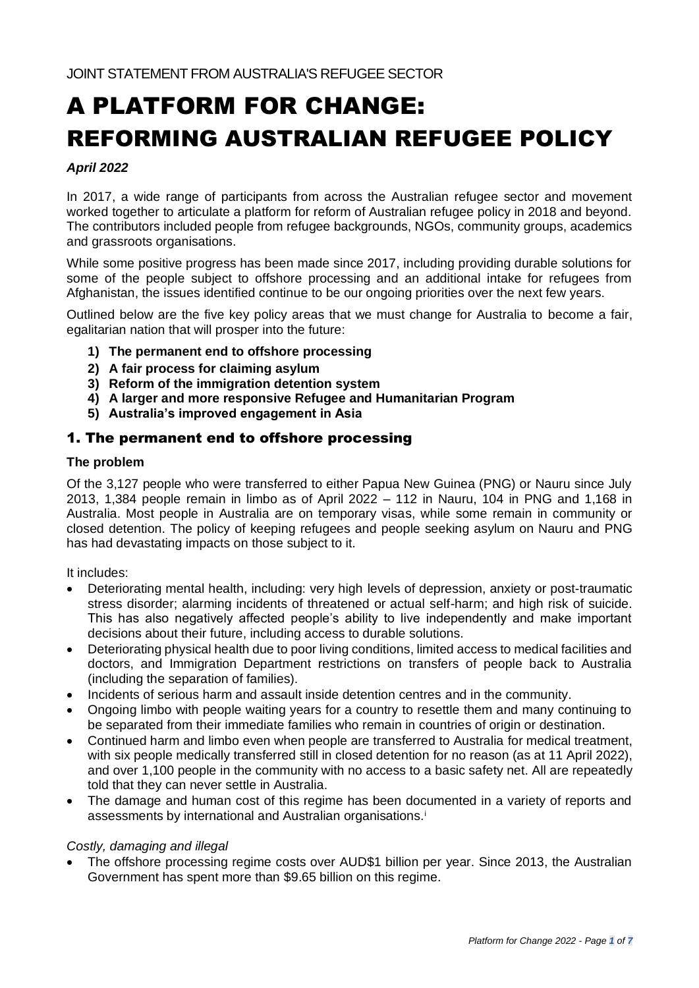# A PLATFORM FOR CHANGE: REFORMING AUSTRALIAN REFUGEE POLICY

## *April 2022*

In 2017, a wide range of participants from across the Australian refugee sector and movement worked together to articulate a platform for reform of Australian refugee policy in 2018 and beyond. The contributors included people from refugee backgrounds, NGOs, community groups, academics and grassroots organisations.

While some positive progress has been made since 2017, including providing durable solutions for some of the people subject to offshore processing and an additional intake for refugees from Afghanistan, the issues identified continue to be our ongoing priorities over the next few years.

Outlined below are the five key policy areas that we must change for Australia to become a fair, egalitarian nation that will prosper into the future:

- **1) The permanent end to offshore processing**
- **2) A fair process for claiming asylum**
- **3) Reform of the immigration detention system**
- **4) A larger and more responsive Refugee and Humanitarian Program**
- **5) Australia's improved engagement in Asia**

## 1. The permanent end to offshore processing

### **The problem**

Of the 3,127 people who were transferred to either Papua New Guinea (PNG) or Nauru since July 2013, 1,384 people remain in limbo as of April 2022 – 112 in Nauru, 104 in PNG and 1,168 in Australia. Most people in Australia are on temporary visas, while some remain in community or closed detention. The policy of keeping refugees and people seeking asylum on Nauru and PNG has had devastating impacts on those subject to it.

It includes:

- Deteriorating mental health, including: very high levels of depression, anxiety or post-traumatic stress disorder; alarming incidents of threatened or actual self-harm; and high risk of suicide. This has also negatively affected people's ability to live independently and make important decisions about their future, including access to durable solutions.
- Deteriorating physical health due to poor living conditions, limited access to medical facilities and doctors, and Immigration Department restrictions on transfers of people back to Australia (including the separation of families).
- Incidents of serious harm and assault inside detention centres and in the community.
- Ongoing limbo with people waiting years for a country to resettle them and many continuing to be separated from their immediate families who remain in countries of origin or destination.
- Continued harm and limbo even when people are transferred to Australia for medical treatment, with six people medically transferred still in closed detention for no reason (as at 11 April 2022), and over 1,100 people in the community with no access to a basic safety net. All are repeatedly told that they can never settle in Australia.
- The damage and human cost of this regime has been documented in a variety of reports and assessments by international and Australian organisations.<sup>i</sup>

#### *Costly, damaging and illegal*

• The offshore processing regime costs over AUD\$1 billion per year. Since 2013, the Australian Government has spent more than \$9.65 billion on this regime.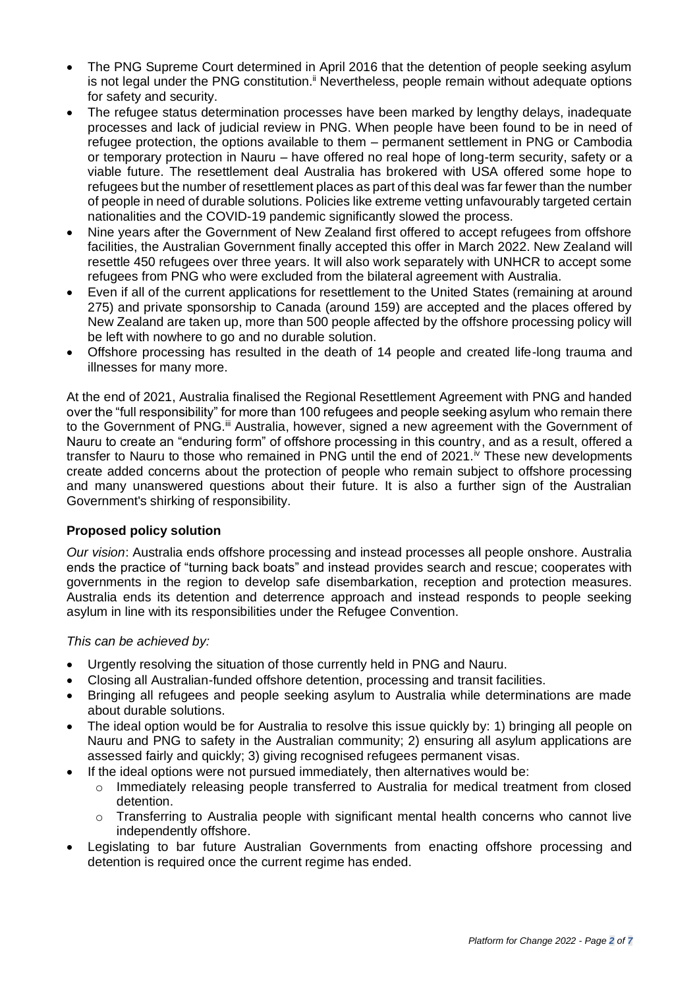- The PNG Supreme Court determined in April 2016 that the detention of people seeking asylum is not legal under the PNG constitution. $\ddot{}}$  Nevertheless, people remain without adequate options for safety and security.
- The refugee status determination processes have been marked by lengthy delays, inadequate processes and lack of judicial review in PNG. When people have been found to be in need of refugee protection, the options available to them – permanent settlement in PNG or Cambodia or temporary protection in Nauru – have offered no real hope of long-term security, safety or a viable future. The resettlement deal Australia has brokered with USA offered some hope to refugees but the number of resettlement places as part of this deal was far fewer than the number of people in need of durable solutions. Policies like extreme vetting unfavourably targeted certain nationalities and the COVID-19 pandemic significantly slowed the process.
- Nine years after the Government of New Zealand first offered to accept refugees from offshore facilities, the Australian Government finally accepted this offer in March 2022. New Zealand will resettle 450 refugees over three years. It will also work separately with UNHCR to accept some refugees from PNG who were excluded from the bilateral agreement with Australia.
- Even if all of the current applications for resettlement to the United States (remaining at around 275) and private sponsorship to Canada (around 159) are accepted and the places offered by New Zealand are taken up, more than 500 people affected by the offshore processing policy will be left with nowhere to go and no durable solution.
- Offshore processing has resulted in the death of 14 people and created life-long trauma and illnesses for many more.

At the end of 2021, Australia finalised the Regional Resettlement Agreement with PNG and handed over the "full responsibility" for more than 100 refugees and people seeking asylum who remain there to the Government of PNG.<sup>ii</sup> Australia, however, signed a new agreement with the Government of Nauru to create an "enduring form" of offshore processing in this country, and as a result, offered a transfer to Nauru to those who remained in PNG until the end of  $2021.$ <sup>N</sup> These new developments create added concerns about the protection of people who remain subject to offshore processing and many unanswered questions about their future. It is also a further sign of the Australian Government's shirking of responsibility.

## **Proposed policy solution**

*Our vision*: Australia ends offshore processing and instead processes all people onshore. Australia ends the practice of "turning back boats" and instead provides search and rescue; cooperates with governments in the region to develop safe disembarkation, reception and protection measures. Australia ends its detention and deterrence approach and instead responds to people seeking asylum in line with its responsibilities under the Refugee Convention.

*This can be achieved by:*

- Urgently resolving the situation of those currently held in PNG and Nauru.
- Closing all Australian-funded offshore detention, processing and transit facilities.
- Bringing all refugees and people seeking asylum to Australia while determinations are made about durable solutions.
- The ideal option would be for Australia to resolve this issue quickly by: 1) bringing all people on Nauru and PNG to safety in the Australian community; 2) ensuring all asylum applications are assessed fairly and quickly; 3) giving recognised refugees permanent visas.
- If the ideal options were not pursued immediately, then alternatives would be:
	- $\circ$  Immediately releasing people transferred to Australia for medical treatment from closed detention.
	- $\circ$  Transferring to Australia people with significant mental health concerns who cannot live independently offshore.
- Legislating to bar future Australian Governments from enacting offshore processing and detention is required once the current regime has ended.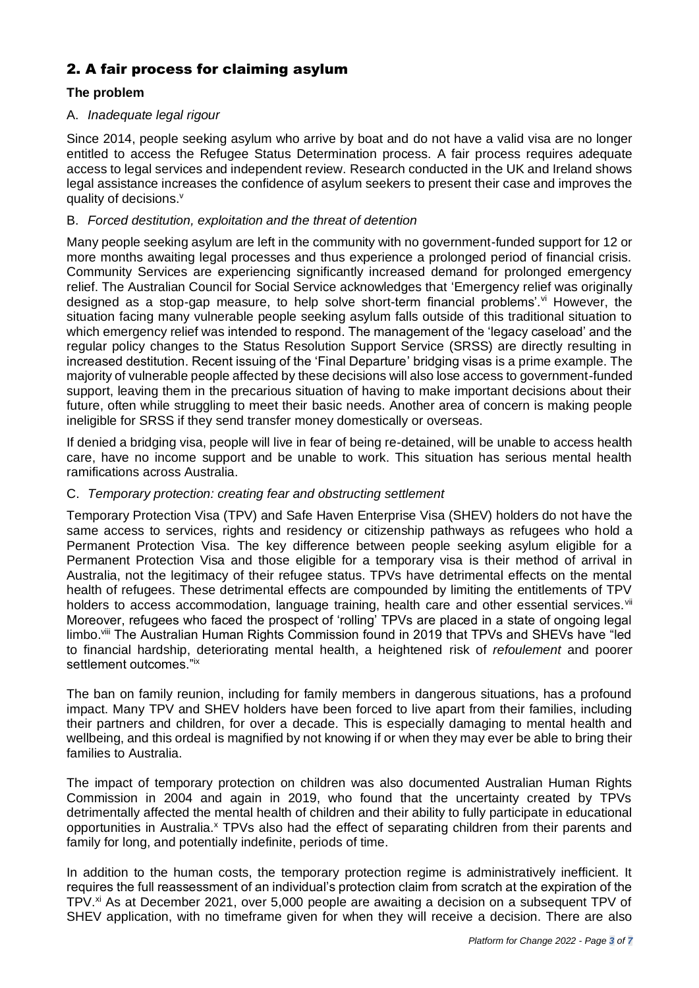# 2. A fair process for claiming asylum

## **The problem**

## A. *Inadequate legal rigour*

Since 2014, people seeking asylum who arrive by boat and do not have a valid visa are no longer entitled to access the Refugee Status Determination process. A fair process requires adequate access to legal services and independent review. Research conducted in the UK and Ireland shows legal assistance increases the confidence of asylum seekers to present their case and improves the quality of decisions.<sup>v</sup>

## B. *Forced destitution, exploitation and the threat of detention*

Many people seeking asylum are left in the community with no government-funded support for 12 or more months awaiting legal processes and thus experience a prolonged period of financial crisis. Community Services are experiencing significantly increased demand for prolonged emergency relief. The Australian Council for Social Service acknowledges that 'Emergency relief was originally designed as a stop-gap measure, to help solve short-term financial problems'.<sup>vi</sup> However, the situation facing many vulnerable people seeking asylum falls outside of this traditional situation to which emergency relief was intended to respond. The management of the 'legacy caseload' and the regular policy changes to the Status Resolution Support Service (SRSS) are directly resulting in increased destitution. Recent issuing of the 'Final Departure' bridging visas is a prime example. The majority of vulnerable people affected by these decisions will also lose access to government-funded support, leaving them in the precarious situation of having to make important decisions about their future, often while struggling to meet their basic needs. Another area of concern is making people ineligible for SRSS if they send transfer money domestically or overseas.

If denied a bridging visa, people will live in fear of being re-detained, will be unable to access health care, have no income support and be unable to work. This situation has serious mental health ramifications across Australia.

## C. *Temporary protection: creating fear and obstructing settlement*

Temporary Protection Visa (TPV) and Safe Haven Enterprise Visa (SHEV) holders do not have the same access to services, rights and residency or citizenship pathways as refugees who hold a Permanent Protection Visa. The key difference between people seeking asylum eligible for a Permanent Protection Visa and those eligible for a temporary visa is their method of arrival in Australia, not the legitimacy of their refugee status. TPVs have detrimental effects on the mental health of refugees. These detrimental effects are compounded by limiting the entitlements of TPV holders to access accommodation, language training, health care and other essential services. Vii Moreover, refugees who faced the prospect of 'rolling' TPVs are placed in a state of ongoing legal limbo.<sup>viii</sup> The Australian Human Rights Commission found in 2019 that TPVs and SHEVs have "led to financial hardship, deteriorating mental health, a heightened risk of *refoulement* and poorer settlement outcomes."ix

The ban on family reunion, including for family members in dangerous situations, has a profound impact. Many TPV and SHEV holders have been forced to live apart from their families, including their partners and children, for over a decade. This is especially damaging to mental health and wellbeing, and this ordeal is magnified by not knowing if or when they may ever be able to bring their families to Australia.

The impact of temporary protection on children was also documented Australian Human Rights Commission in 2004 and again in 2019, who found that the uncertainty created by TPVs detrimentally affected the mental health of children and their ability to fully participate in educational opportunities in Australia.<sup>x</sup> TPVs also had the effect of separating children from their parents and family for long, and potentially indefinite, periods of time.

In addition to the human costs, the temporary protection regime is administratively inefficient. It requires the full reassessment of an individual's protection claim from scratch at the expiration of the TPV.<sup>xi</sup> As at December 2021, over 5,000 people are awaiting a decision on a subsequent TPV of SHEV application, with no timeframe given for when they will receive a decision. There are also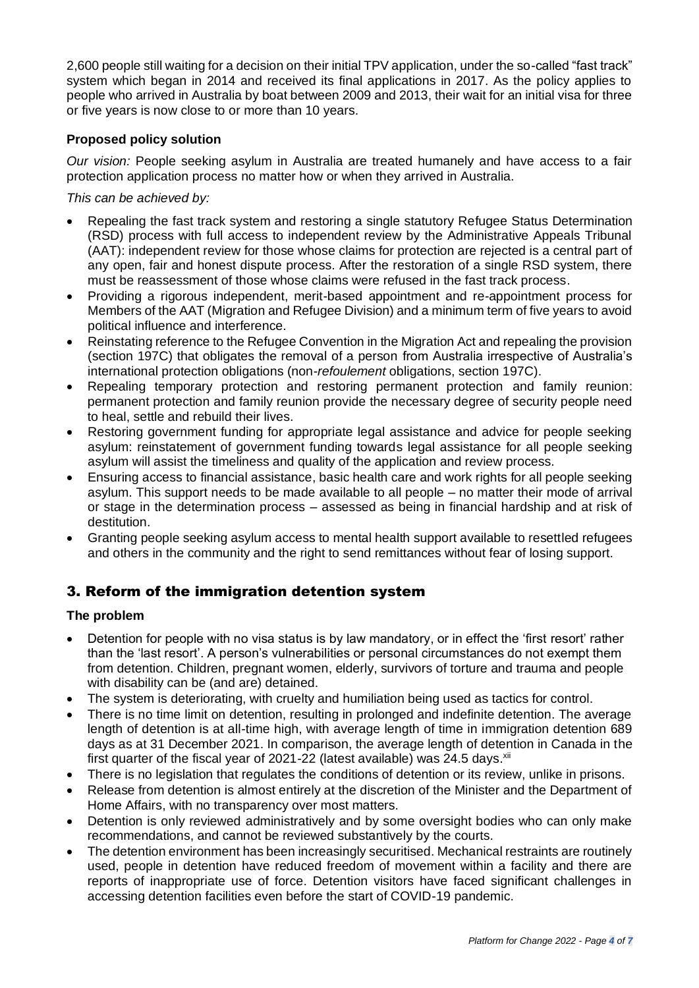2,600 people still waiting for a decision on their initial TPV application, under the so-called "fast track" system which began in 2014 and received its final applications in 2017. As the policy applies to people who arrived in Australia by boat between 2009 and 2013, their wait for an initial visa for three or five years is now close to or more than 10 years.

## **Proposed policy solution**

*Our vision:* People seeking asylum in Australia are treated humanely and have access to a fair protection application process no matter how or when they arrived in Australia.

*This can be achieved by:*

- Repealing the fast track system and restoring a single statutory Refugee Status Determination (RSD) process with full access to independent review by the Administrative Appeals Tribunal (AAT): independent review for those whose claims for protection are rejected is a central part of any open, fair and honest dispute process. After the restoration of a single RSD system, there must be reassessment of those whose claims were refused in the fast track process.
- Providing a rigorous independent, merit-based appointment and re-appointment process for Members of the AAT (Migration and Refugee Division) and a minimum term of five years to avoid political influence and interference.
- Reinstating reference to the Refugee Convention in the Migration Act and repealing the provision (section 197C) that obligates the removal of a person from Australia irrespective of Australia's international protection obligations (non-*refoulement* obligations, section 197C).
- Repealing temporary protection and restoring permanent protection and family reunion: permanent protection and family reunion provide the necessary degree of security people need to heal, settle and rebuild their lives.
- Restoring government funding for appropriate legal assistance and advice for people seeking asylum: reinstatement of government funding towards legal assistance for all people seeking asylum will assist the timeliness and quality of the application and review process.
- Ensuring access to financial assistance, basic health care and work rights for all people seeking asylum. This support needs to be made available to all people – no matter their mode of arrival or stage in the determination process – assessed as being in financial hardship and at risk of destitution.
- Granting people seeking asylum access to mental health support available to resettled refugees and others in the community and the right to send remittances without fear of losing support.

# 3. Reform of the immigration detention system

## **The problem**

- Detention for people with no visa status is by law mandatory, or in effect the 'first resort' rather than the 'last resort'. A person's vulnerabilities or personal circumstances do not exempt them from detention. Children, pregnant women, elderly, survivors of torture and trauma and people with disability can be (and are) detained.
- The system is deteriorating, with cruelty and humiliation being used as tactics for control.
- There is no time limit on detention, resulting in prolonged and indefinite detention. The average length of detention is at all-time high, with average length of time in immigration detention 689 days as at 31 December 2021. In comparison, the average length of detention in Canada in the first quarter of the fiscal year of 2021-22 (latest available) was 24.5 days. Xii
- There is no legislation that regulates the conditions of detention or its review, unlike in prisons.
- Release from detention is almost entirely at the discretion of the Minister and the Department of Home Affairs, with no transparency over most matters.
- Detention is only reviewed administratively and by some oversight bodies who can only make recommendations, and cannot be reviewed substantively by the courts.
- The detention environment has been increasingly securitised. Mechanical restraints are routinely used, people in detention have reduced freedom of movement within a facility and there are reports of inappropriate use of force. Detention visitors have faced significant challenges in accessing detention facilities even before the start of COVID-19 pandemic.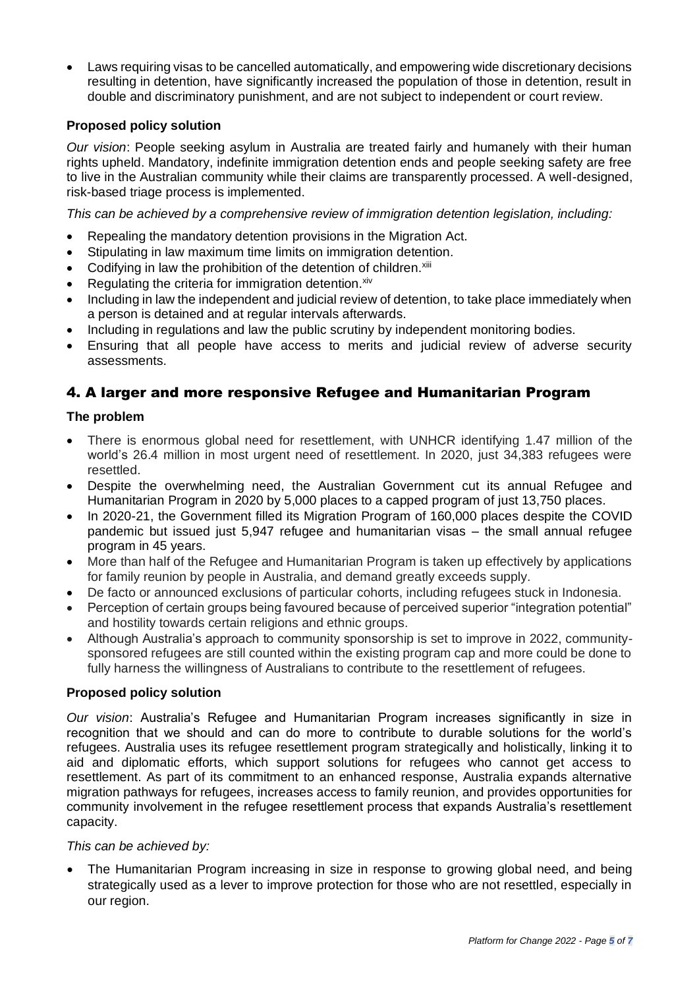• Laws requiring visas to be cancelled automatically, and empowering wide discretionary decisions resulting in detention, have significantly increased the population of those in detention, result in double and discriminatory punishment, and are not subject to independent or court review.

## **Proposed policy solution**

*Our vision*: People seeking asylum in Australia are treated fairly and humanely with their human rights upheld. Mandatory, indefinite immigration detention ends and people seeking safety are free to live in the Australian community while their claims are transparently processed. A well-designed, risk-based triage process is implemented.

*This can be achieved by a comprehensive review of immigration detention legislation, including:*

- Repealing the mandatory detention provisions in the Migration Act.
- Stipulating in law maximum time limits on immigration detention.
- Codifying in law the prohibition of the detention of children.<sup>xiii</sup>
- Regulating the criteria for immigration detention. Xiv
- Including in law the independent and judicial review of detention, to take place immediately when a person is detained and at regular intervals afterwards.
- Including in regulations and law the public scrutiny by independent monitoring bodies.
- Ensuring that all people have access to merits and judicial review of adverse security assessments.

## 4. A larger and more responsive Refugee and Humanitarian Program

## **The problem**

- There is enormous global need for resettlement, with UNHCR identifying 1.47 million of the world's 26.4 million in most urgent need of resettlement. In 2020, just 34,383 refugees were resettled.
- Despite the overwhelming need, the Australian Government cut its annual Refugee and Humanitarian Program in 2020 by 5,000 places to a capped program of just 13,750 places.
- In 2020-21, the Government filled its Migration Program of 160,000 places despite the COVID pandemic but issued just 5,947 refugee and humanitarian visas – the small annual refugee program in 45 years.
- More than half of the Refugee and Humanitarian Program is taken up effectively by applications for family reunion by people in Australia, and demand greatly exceeds supply.
- De facto or announced exclusions of particular cohorts, including refugees stuck in Indonesia.
- Perception of certain groups being favoured because of perceived superior "integration potential" and hostility towards certain religions and ethnic groups.
- Although Australia's approach to community sponsorship is set to improve in 2022, communitysponsored refugees are still counted within the existing program cap and more could be done to fully harness the willingness of Australians to contribute to the resettlement of refugees.

## **Proposed policy solution**

*Our vision*: Australia's Refugee and Humanitarian Program increases significantly in size in recognition that we should and can do more to contribute to durable solutions for the world's refugees. Australia uses its refugee resettlement program strategically and holistically, linking it to aid and diplomatic efforts, which support solutions for refugees who cannot get access to resettlement. As part of its commitment to an enhanced response, Australia expands alternative migration pathways for refugees, increases access to family reunion, and provides opportunities for community involvement in the refugee resettlement process that expands Australia's resettlement capacity.

#### *This can be achieved by:*

• The Humanitarian Program increasing in size in response to growing global need, and being strategically used as a lever to improve protection for those who are not resettled, especially in our region.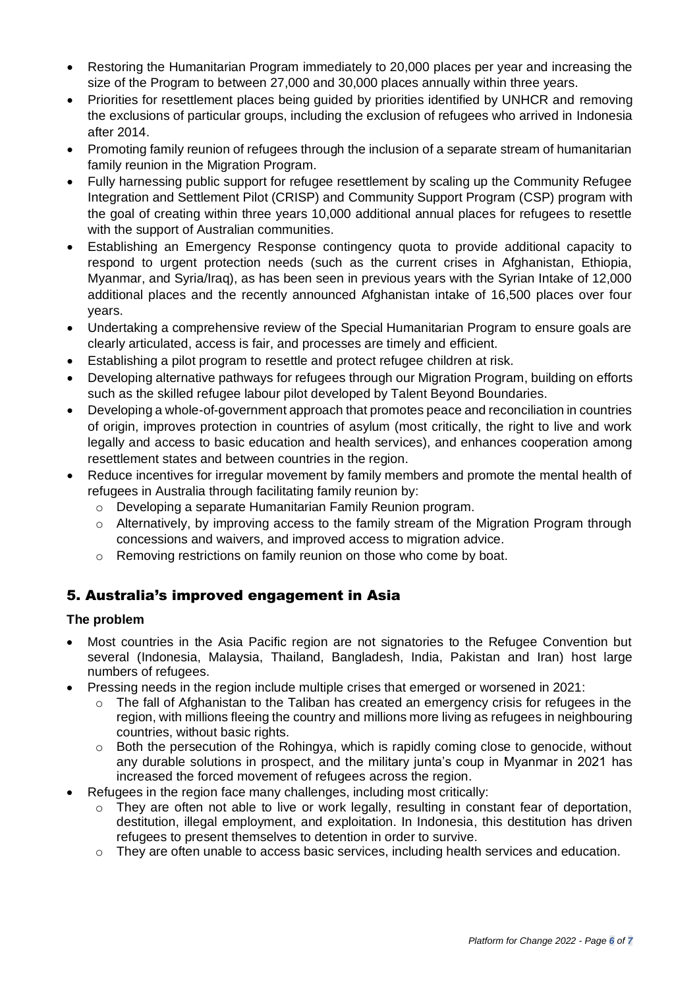- Restoring the Humanitarian Program immediately to 20,000 places per year and increasing the size of the Program to between 27,000 and 30,000 places annually within three years.
- Priorities for resettlement places being guided by priorities identified by UNHCR and removing the exclusions of particular groups, including the exclusion of refugees who arrived in Indonesia after 2014.
- Promoting family reunion of refugees through the inclusion of a separate stream of humanitarian family reunion in the Migration Program.
- Fully harnessing public support for refugee resettlement by scaling up the Community Refugee Integration and Settlement Pilot (CRISP) and Community Support Program (CSP) program with the goal of creating within three years 10,000 additional annual places for refugees to resettle with the support of Australian communities.
- Establishing an Emergency Response contingency quota to provide additional capacity to respond to urgent protection needs (such as the current crises in Afghanistan, Ethiopia, Myanmar, and Syria/Iraq), as has been seen in previous years with the Syrian Intake of 12,000 additional places and the recently announced Afghanistan intake of 16,500 places over four years.
- Undertaking a comprehensive review of the Special Humanitarian Program to ensure goals are clearly articulated, access is fair, and processes are timely and efficient.
- Establishing a pilot program to resettle and protect refugee children at risk.
- Developing alternative pathways for refugees through our Migration Program, building on efforts such as the skilled refugee labour pilot developed by Talent Beyond Boundaries.
- Developing a whole-of-government approach that promotes peace and reconciliation in countries of origin, improves protection in countries of asylum (most critically, the right to live and work legally and access to basic education and health services), and enhances cooperation among resettlement states and between countries in the region.
- Reduce incentives for irregular movement by family members and promote the mental health of refugees in Australia through facilitating family reunion by:
	- o Developing a separate Humanitarian Family Reunion program.
	- o Alternatively, by improving access to the family stream of the Migration Program through concessions and waivers, and improved access to migration advice.
	- o Removing restrictions on family reunion on those who come by boat.

# 5. Australia's improved engagement in Asia

## **The problem**

- Most countries in the Asia Pacific region are not signatories to the Refugee Convention but several (Indonesia, Malaysia, Thailand, Bangladesh, India, Pakistan and Iran) host large numbers of refugees.
- Pressing needs in the region include multiple crises that emerged or worsened in 2021:
	- $\circ$  The fall of Afghanistan to the Taliban has created an emergency crisis for refugees in the region, with millions fleeing the country and millions more living as refugees in neighbouring countries, without basic rights.
	- o Both the persecution of the Rohingya, which is rapidly coming close to genocide, without any durable solutions in prospect, and the military junta's coup in Myanmar in 2021 has increased the forced movement of refugees across the region.
- Refugees in the region face many challenges, including most critically:
	- o They are often not able to live or work legally, resulting in constant fear of deportation, destitution, illegal employment, and exploitation. In Indonesia, this destitution has driven refugees to present themselves to detention in order to survive.
	- $\circ$  They are often unable to access basic services, including health services and education.